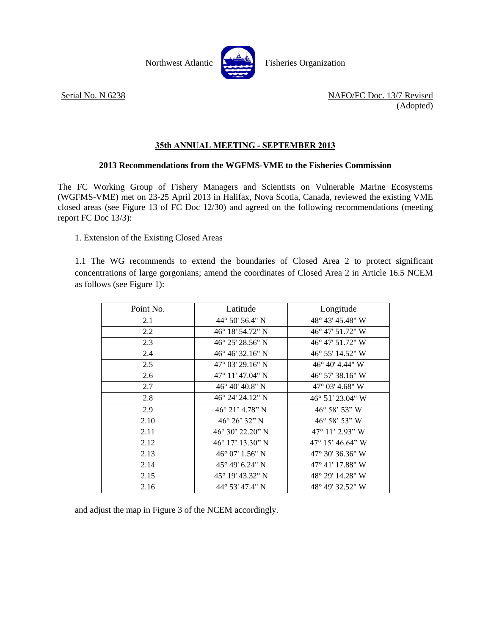

Serial No. N 6238 NAFO/FC Doc. 13/7 Revised (Adopted)

## **35th ANNUAL MEETING - SEPTEMBER 2013**

## **2013 Recommendations from the WGFMS-VME to the Fisheries Commission**

The FC Working Group of Fishery Managers and Scientists on Vulnerable Marine Ecosystems (WGFMS-VME) met on 23-25 April 2013 in Halifax, Nova Scotia, Canada, reviewed the existing VME closed areas (see Figure 13 of FC Doc 12/30) and agreed on the following recommendations (meeting report FC Doc 13/3):

## 1. Extension of the Existing Closed Areas

1.1 The WG recommends to extend the boundaries of Closed Area 2 to protect significant concentrations of large gorgonians; amend the coordinates of Closed Area 2 in Article 16.5 NCEM as follows (see Figure 1):

| Point No. | Latitude                   | Longitude                 |
|-----------|----------------------------|---------------------------|
| 2.1       | 44 $\degree$ 50' 56.4" N   | 48° 43′ 45.48″ W          |
| 2.2       | $46^{\circ}$ 18' 54.72" N  | $46^{\circ}$ 47' 51.72" W |
| 2.3       | $46^{\circ}$ 25' 28.56" N  | $46^{\circ}$ 47' 51.72" W |
| 2.4       | 46° 46′ 32.16″ N           | 46° 55′ 14.52″ W          |
| 2.5       | 47° 03′ 29.16″ N           | 46° 40' 4.44" W           |
| 2.6       | 47° 11′ 47.04″ N           | 46° 57′ 38.16″ W          |
| 2.7       | $46^{\circ}$ 40' 40.8" N   | $47^{\circ}$ 03' 4.68" W  |
| 2.8       | $46^{\circ}$ 24' 24.12" N  | 46° 51' 23.04" W          |
| 2.9       | $46^{\circ}$ 21' $4.78"$ N | 46° 58' 53" W             |
| 2.10      | $46^{\circ} 26' 32''$ N    | $46^{\circ} 58' 53'' W$   |
| 2.11      | $46^{\circ}30'22.20"$ N    | $47^{\circ}$ 11' 2.93" W  |
| 2.12      | 46° 17' 13.30" N           | $47^{\circ}$ 15' 46.64" W |
| 2.13      | $46^{\circ}$ 07' 1.56" N   | 47° 30′ 36.36″ W          |
| 2.14      | 45° 49′ 6.24″ N            | $47^{\circ}$ 41' 17.88" W |
| 2.15      | 45° 19′ 43.32″ N           | 48° 29′ 14.28″ W          |
| 2.16      | 44° 53' 47.4" N            | 48° 49' 32.52" W          |

and adjust the map in Figure 3 of the NCEM accordingly.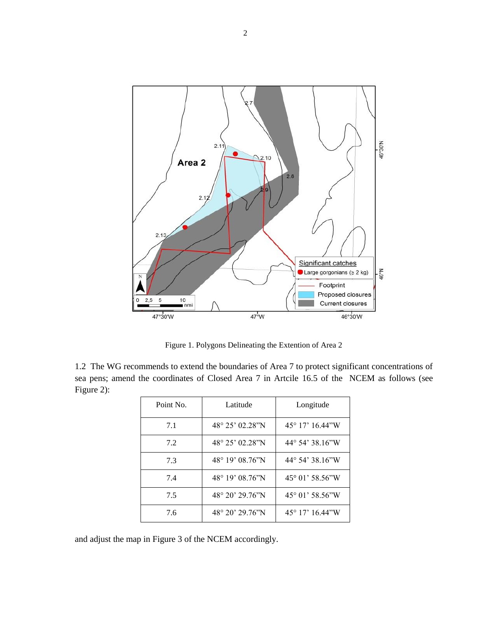

Figure 1. Polygons Delineating the Extention of Area 2

1.2 The WG recommends to extend the boundaries of Area 7 to protect significant concentrations of sea pens; amend the coordinates of Closed Area 7 in Artcile 16.5 of the NCEM as follows (see Figure 2):

| Point No. | Latitude                   | Longitude                |
|-----------|----------------------------|--------------------------|
| 7.1       | $48^{\circ} 25' 02.28''N$  | $45^{\circ}$ 17' 16.44"W |
| 7.2       | $48^{\circ} 25' 02.28''N$  | $44^{\circ}$ 54' 38.16"W |
| 7.3       | $48^{\circ}$ 19' 08.76"N   | $44^{\circ}$ 54' 38.16"W |
| 7.4       | 48° 19' 08.76"N            | 45° 01' 58.56"W          |
| 7.5       | $48^{\circ} 20' 29.76''$ N | 45° 01' 58.56"W          |
| 7.6       | $48^{\circ}$ 20' 29 76"N   | $45^{\circ}$ 17' 16.44"W |

and adjust the map in Figure 3 of the NCEM accordingly.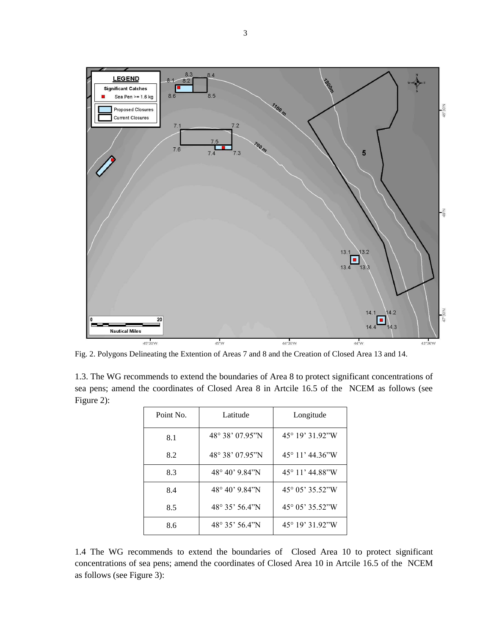

Fig. 2. Polygons Delineating the Extention of Areas 7 and 8 and the Creation of Closed Area 13 and 14.

1.3. The WG recommends to extend the boundaries of Area 8 to protect significant concentrations of sea pens; amend the coordinates of Closed Area 8 in Artcile 16.5 of the NCEM as follows (see Figure 2):

| Point No. | Latitude                   | Longitude                          |
|-----------|----------------------------|------------------------------------|
| 8.1       | $48^{\circ} 38' 07.95''$ N | $45^{\circ}$ 19' 31.92"W           |
| 8.2       | $48^{\circ}$ 38' 07.95"N   | $45^{\circ}$ 11' $44.36^{\circ}$ W |
| 8.3       | $48^{\circ} 40' 9.84''$ N  | $45^{\circ}$ 11' 44.88"W           |
| 8.4       | 48° 40' 9.84"N             | 45° 05' 35.52"W                    |
| 8.5       | $48^{\circ}$ 35' 56.4"N    | 45° 05' 35.52"W                    |
| 8.6       | $48^{\circ}$ 35' 56.4"N    | $45^{\circ}$ 19' 31.92"W           |

1.4 The WG recommends to extend the boundaries of Closed Area 10 to protect significant concentrations of sea pens; amend the coordinates of Closed Area 10 in Artcile 16.5 of the NCEM as follows (see Figure 3):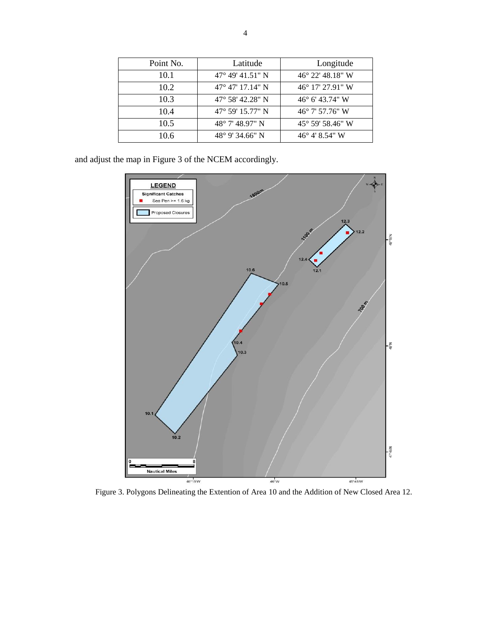| Point No. | Latitude                    | Longitude                 |
|-----------|-----------------------------|---------------------------|
| 10.1      | $47^{\circ}$ 49' 41.51" N   | $46^{\circ}$ 22' 48.18" W |
| 10.2      | $47^{\circ}$ 47' 17.14" N   | $46^{\circ}$ 17' 27.91" W |
| 10.3      | $47^{\circ}$ 58' 42.28" N   | $46^{\circ}$ 6' 43.74" W  |
| 10.4      | $47^{\circ}$ 59' 15.77" N   | $46^{\circ}$ 7' 57.76" W  |
| 10.5      | $48^{\circ}$ 7' $48.97$ " N | $45^{\circ}$ 59' 58.46" W |
| 10.6      | $48^{\circ}$ 9' 34.66" N    | $46^{\circ}$ 4' 8.54" W   |

and adjust the map in Figure 3 of the NCEM accordingly.



Figure 3. Polygons Delineating the Extention of Area 10 and the Addition of New Closed Area 12.